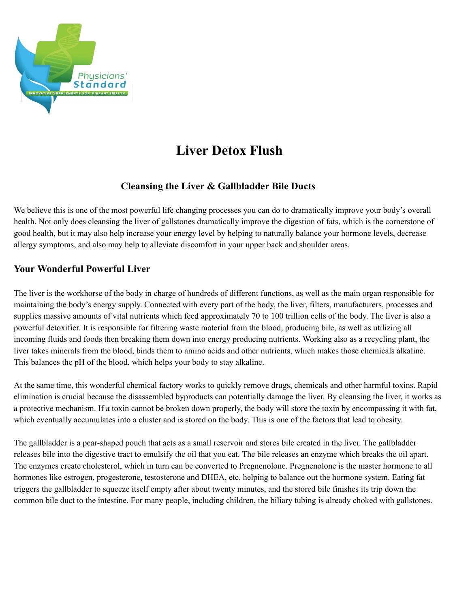

# **Liver Detox Flush**

## **Cleansing the Liver & Gallbladder Bile Ducts**

We believe this is one of the most powerful life changing processes you can do to dramatically improve your body's overall health. Not only does cleansing the liver of gallstones dramatically improve the digestion of fats, which is the cornerstone of good health, but it may also help increase your energy level by helping to naturally balance your hormone levels, decrease allergy symptoms, and also may help to alleviate discomfort in your upper back and shoulder areas.

## **Your Wonderful Powerful Liver**

The liver is the workhorse of the body in charge of hundreds of different functions, as well as the main organ responsible for maintaining the body's energy supply. Connected with every part of the body, the liver, filters, manufacturers, processes and supplies massive amounts of vital nutrients which feed approximately 70 to 100 trillion cells of the body. The liver is also a powerful detoxifier. It is responsible for filtering waste material from the blood, producing bile, as well as utilizing all incoming fluids and foods then breaking them down into energy producing nutrients. Working also as a recycling plant, the liver takes minerals from the blood, binds them to amino acids and other nutrients, which makes those chemicals alkaline. This balances the pH of the blood, which helps your body to stay alkaline.

At the same time, this wonderful chemical factory works to quickly remove drugs, chemicals and other harmful toxins. Rapid elimination is crucial because the disassembled byproducts can potentially damage the liver. By cleansing the liver, it works as a protective mechanism. If a toxin cannot be broken down properly, the body will store the toxin by encompassing it with fat, which eventually accumulates into a cluster and is stored on the body. This is one of the factors that lead to obesity.

The gallbladder is a pear-shaped pouch that acts as a small reservoir and stores bile created in the liver. The gallbladder releases bile into the digestive tract to emulsify the oil that you eat. The bile releases an enzyme which breaks the oil apart. The enzymes create cholesterol, which in turn can be converted to Pregnenolone. Pregnenolone is the master hormone to all hormones like estrogen, progesterone, testosterone and DHEA, etc. helping to balance out the hormone system. Eating fat triggers the gallbladder to squeeze itself empty after about twenty minutes, and the stored bile finishes its trip down the common bile duct to the intestine. For many people, including children, the biliary tubing is already choked with gallstones.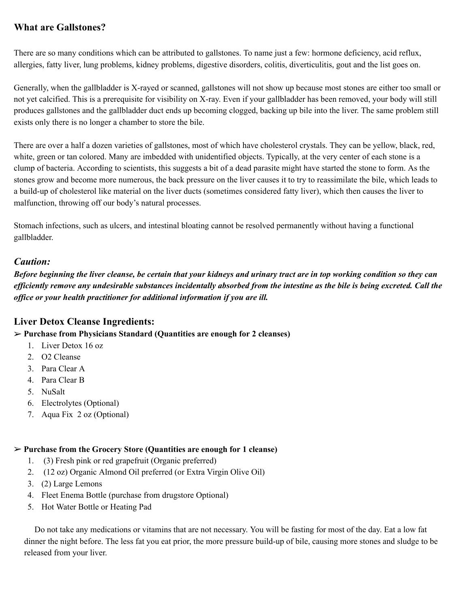# **What are Gallstones?**

There are so many conditions which can be attributed to gallstones. To name just a few: hormone deficiency, acid reflux, allergies, fatty liver, lung problems, kidney problems, digestive disorders, colitis, diverticulitis, gout and the list goes on.

Generally, when the gallbladder is X-rayed or scanned, gallstones will not show up because most stones are either too small or not yet calcified. This is a prerequisite for visibility on X-ray. Even if your gallbladder has been removed, your body will still produces gallstones and the gallbladder duct ends up becoming clogged, backing up bile into the liver. The same problem still exists only there is no longer a chamber to store the bile.

There are over a half a dozen varieties of gallstones, most of which have cholesterol crystals. They can be yellow, black, red, white, green or tan colored. Many are imbedded with unidentified objects. Typically, at the very center of each stone is a clump of bacteria. According to scientists, this suggests a bit of a dead parasite might have started the stone to form. As the stones grow and become more numerous, the back pressure on the liver causes it to try to reassimilate the bile, which leads to a build-up of cholesterol like material on the liver ducts (sometimes considered fatty liver), which then causes the liver to malfunction, throwing off our body's natural processes.

Stomach infections, such as ulcers, and intestinal bloating cannot be resolved permanently without having a functional gallbladder.

#### *Caution:*

Before beginning the liver cleanse, be certain that your kidneys and urinary tract are in top working condition so they can efficiently remove any undesirable substances incidentally absorbed from the intestine as the bile is being excreted. Call the *office or your health practitioner for additional information if you are ill.*

#### **Liver Detox Cleanse Ingredients:**

**Purchase from Physicians Standard (Quantities are enough for 2 cleanses)**

- 1. Liver Detox 16 oz
- 2. O2 Cleanse
- 3. Para Clear A
- 4. Para Clear B
- 5. NuSalt
- 6. Electrolytes (Optional)
- 7. Aqua Fix 2 oz (Optional)

#### **Purchase from the Grocery Store (Quantities are enough for 1 cleanse)**

- 1. (3) Fresh pink or red grapefruit (Organic preferred)
- 2. (12 oz) Organic Almond Oil preferred (or Extra Virgin Olive Oil)
- 3. (2) Large Lemons
- 4. Fleet Enema Bottle (purchase from drugstore Optional)
- 5. Hot Water Bottle or Heating Pad

Do not take any medications or vitamins that are not necessary. You will be fasting for most of the day. Eat a low fat dinner the night before. The less fat you eat prior, the more pressure build-up of bile, causing more stones and sludge to be released from your liver.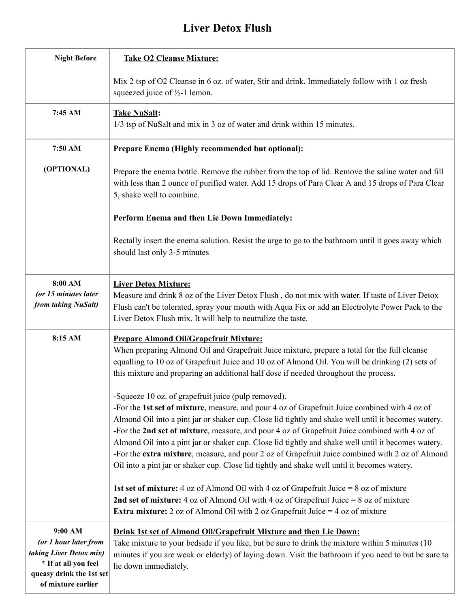# **Liver Detox Flush**

| <b>Night Before</b>                                                                                                                   | <b>Take O2 Cleanse Mixture:</b>                                                                                                                                                                                                                                                                                                                                                                                                                                                                                                                                                                                                                                                                                                                                                                                                                              |
|---------------------------------------------------------------------------------------------------------------------------------------|--------------------------------------------------------------------------------------------------------------------------------------------------------------------------------------------------------------------------------------------------------------------------------------------------------------------------------------------------------------------------------------------------------------------------------------------------------------------------------------------------------------------------------------------------------------------------------------------------------------------------------------------------------------------------------------------------------------------------------------------------------------------------------------------------------------------------------------------------------------|
|                                                                                                                                       | Mix 2 tsp of O2 Cleanse in 6 oz. of water, Stir and drink. Immediately follow with 1 oz fresh<br>squeezed juice of $\frac{1}{2}$ -1 lemon.                                                                                                                                                                                                                                                                                                                                                                                                                                                                                                                                                                                                                                                                                                                   |
| 7:45 AM                                                                                                                               | <b>Take NuSalt:</b><br>1/3 tsp of NuSalt and mix in 3 oz of water and drink within 15 minutes.                                                                                                                                                                                                                                                                                                                                                                                                                                                                                                                                                                                                                                                                                                                                                               |
| 7:50 AM                                                                                                                               | Prepare Enema (Highly recommended but optional):                                                                                                                                                                                                                                                                                                                                                                                                                                                                                                                                                                                                                                                                                                                                                                                                             |
| (OPTIONAL)                                                                                                                            | Prepare the enema bottle. Remove the rubber from the top of lid. Remove the saline water and fill<br>with less than 2 ounce of purified water. Add 15 drops of Para Clear A and 15 drops of Para Clear<br>5, shake well to combine.                                                                                                                                                                                                                                                                                                                                                                                                                                                                                                                                                                                                                          |
|                                                                                                                                       | Perform Enema and then Lie Down Immediately:                                                                                                                                                                                                                                                                                                                                                                                                                                                                                                                                                                                                                                                                                                                                                                                                                 |
|                                                                                                                                       | Rectally insert the enema solution. Resist the urge to go to the bathroom until it goes away which<br>should last only 3-5 minutes                                                                                                                                                                                                                                                                                                                                                                                                                                                                                                                                                                                                                                                                                                                           |
| 8:00 AM<br>(or 15 minutes later<br>from taking NuSalt)                                                                                | <b>Liver Detox Mixture:</b><br>Measure and drink 8 oz of the Liver Detox Flush, do not mix with water. If taste of Liver Detox<br>Flush can't be tolerated, spray your mouth with Aqua Fix or add an Electrolyte Power Pack to the<br>Liver Detox Flush mix. It will help to neutralize the taste.                                                                                                                                                                                                                                                                                                                                                                                                                                                                                                                                                           |
| 8:15 AM                                                                                                                               | <b>Prepare Almond Oil/Grapefruit Mixture:</b><br>When preparing Almond Oil and Grapefruit Juice mixture, prepare a total for the full cleanse<br>equalling to 10 oz of Grapefruit Juice and 10 oz of Almond Oil. You will be drinking (2) sets of<br>this mixture and preparing an additional half dose if needed throughout the process.                                                                                                                                                                                                                                                                                                                                                                                                                                                                                                                    |
|                                                                                                                                       | -Squeeze 10 oz. of grapefruit juice (pulp removed).<br>-For the 1st set of mixture, measure, and pour 4 oz of Grapefruit Juice combined with 4 oz of<br>Almond Oil into a pint jar or shaker cup. Close lid tightly and shake well until it becomes watery.<br>-For the 2nd set of mixture, measure, and pour 4 oz of Grapefruit Juice combined with 4 oz of<br>Almond Oil into a pint jar or shaker cup. Close lid tightly and shake well until it becomes watery.<br>-For the extra mixture, measure, and pour 2 oz of Grapefruit Juice combined with 2 oz of Almond<br>Oil into a pint jar or shaker cup. Close lid tightly and shake well until it becomes watery.<br>1st set of mixture: 4 oz of Almond Oil with 4 oz of Grapefruit Juice = $8$ oz of mixture<br>2nd set of mixture: 4 oz of Almond Oil with 4 oz of Grapefruit Juice = 8 oz of mixture |
| 9:00 AM<br>(or 1 hour later from<br>taking Liver Detox mix)<br>* If at all you feel<br>queasy drink the 1st set<br>of mixture earlier | <b>Extra mixture:</b> 2 oz of Almond Oil with 2 oz Grapefruit Juice $=$ 4 oz of mixture<br>Drink 1st set of Almond Oil/Grapefruit Mixture and then Lie Down:<br>Take mixture to your bedside if you like, but be sure to drink the mixture within 5 minutes (10)<br>minutes if you are weak or elderly) of laying down. Visit the bathroom if you need to but be sure to<br>lie down immediately.                                                                                                                                                                                                                                                                                                                                                                                                                                                            |

https://docs.google.com/docs.google.com/document/document/document/document/document/document/document/documen